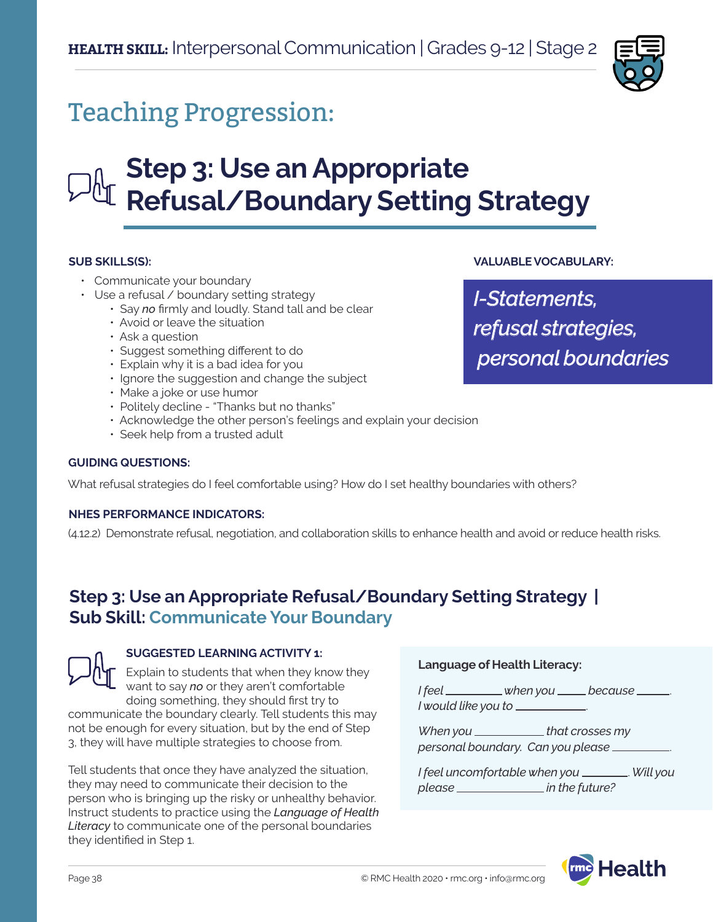

## Teaching Progression:

## **Step 3: Use an Appropriate Refusal/Boundary Setting Strategy**

### **SUB SKILLS(S):**

- Communicate your boundary
- Use a refusal / boundary setting strategy
	- Say *no* firmly and loudly. Stand tall and be clear
	- Avoid or leave the situation
	- Ask a question
	- Suggest something different to do
	- Explain why it is a bad idea for you
	- Ignore the suggestion and change the subject
	- Make a joke or use humor
	- Politely decline "Thanks but no thanks"
	- Acknowledge the other person's feelings and explain your decision
	- Seek help from a trusted adult

### **GUIDING QUESTIONS:**

What refusal strategies do I feel comfortable using? How do I set healthy boundaries with others?

### **NHES PERFORMANCE INDICATORS:**

(4.12.2) Demonstrate refusal, negotiation, and collaboration skills to enhance health and avoid or reduce health risks.

### **Step 3: Use an Appropriate Refusal/Boundary Setting Strategy | Sub Skill: Communicate Your Boundary**



### **SUGGESTED LEARNING ACTIVITY 1:**

Explain to students that when they know they want to say *no* or they aren't comfortable doing something, they should first try to communicate the boundary clearly. Tell students this may not be enough for every situation, but by the end of Step 3, they will have multiple strategies to choose from.

Tell students that once they have analyzed the situation, they may need to communicate their decision to the person who is bringing up the risky or unhealthy behavior. Instruct students to practice using the *Language of Health Literacy* to communicate one of the personal boundaries they identified in Step 1.

### **Language of Health Literacy:**

*I* feel \_\_\_\_\_\_\_\_\_ when you \_\_\_\_\_ because \_\_\_\_\_. *I would like you to* .

*When you* \_\_\_\_\_\_\_\_\_\_\_\_\_\_that crosses my *personal boundary. Can you please* .

*I feel uncomfortable when you* . *Will you*  please \_\_\_\_\_\_\_\_\_\_\_\_\_\_\_\_\_ in the future?



*I-Statements, refusal strategies, personal boundaries*

**VALUABLE VOCABULARY:**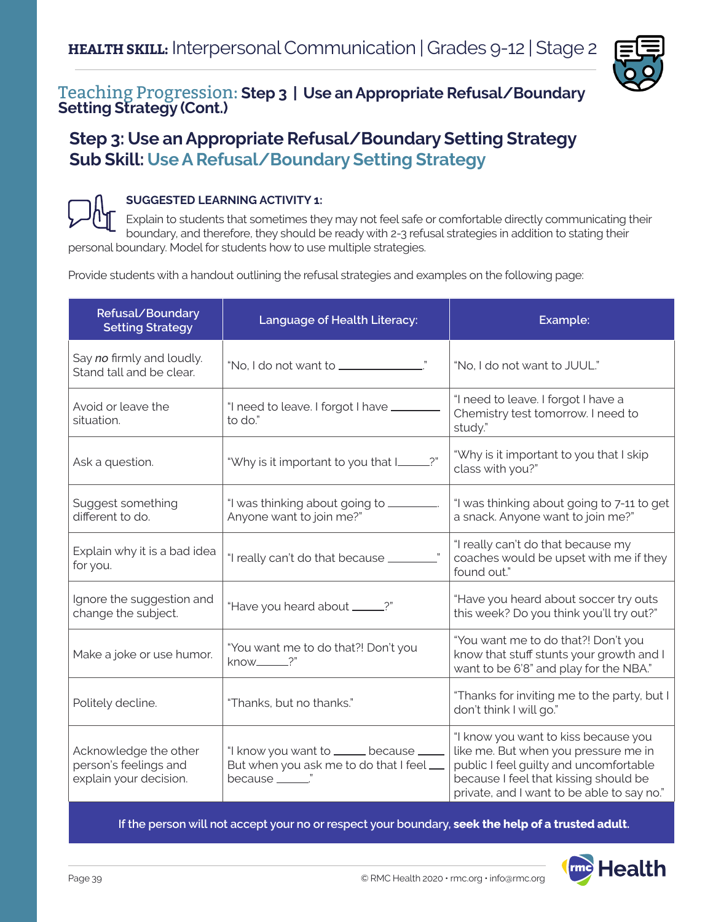

# Teaching Progression: **Step 3 | Use an Appropriate Refusal/Boundary Setting Strategy (Cont.)**

### **Step 3: Use an Appropriate Refusal/Boundary Setting Strategy Sub Skill: Use A Refusal/Boundary Setting Strategy**



### **SUGGESTED LEARNING ACTIVITY 1:**

Explain to students that sometimes they may not feel safe or comfortable directly communicating their boundary, and therefore, they should be ready with 2-3 refusal strategies in addition to stating their personal boundary. Model for students how to use multiple strategies.

Provide students with a handout outlining the refusal strategies and examples on the following page:

| Refusal/Boundary<br><b>Setting Strategy</b>                              | Language of Health Literacy:                                                                           | Example:                                                                                                                                                                                                      |
|--------------------------------------------------------------------------|--------------------------------------------------------------------------------------------------------|---------------------------------------------------------------------------------------------------------------------------------------------------------------------------------------------------------------|
| Say no firmly and loudly.<br>Stand tall and be clear.                    |                                                                                                        | "No, I do not want to JUUL."                                                                                                                                                                                  |
| Avoid or leave the<br>situation.                                         | "I need to leave. I forgot I have ______<br>to do."                                                    | "I need to leave. I forgot I have a<br>Chemistry test tomorrow. I need to<br>study."                                                                                                                          |
| Ask a question.                                                          | "Why is it important to you that I____?"                                                               | "Why is it important to you that I skip<br>class with you?"                                                                                                                                                   |
| Suggest something<br>different to do.                                    | "I was thinking about going to _________.<br>Anyone want to join me?"                                  | "I was thinking about going to 7-11 to get<br>a snack. Anyone want to join me?"                                                                                                                               |
| Explain why it is a bad idea<br>for you.                                 | "I really can't do that because ________                                                               | "I really can't do that because my<br>coaches would be upset with me if they<br>found out."                                                                                                                   |
| Ignore the suggestion and<br>change the subject.                         | "Have you heard about _____?"                                                                          | "Have you heard about soccer try outs<br>this week? Do you think you'll try out?"                                                                                                                             |
| Make a joke or use humor.                                                | "You want me to do that?! Don't you<br>know_____?"                                                     | "You want me to do that?! Don't you<br>know that stuff stunts your growth and I<br>want to be 6'8" and play for the NBA."                                                                                     |
| Politely decline.                                                        | "Thanks, but no thanks."                                                                               | "Thanks for inviting me to the party, but I<br>don't think I will go."                                                                                                                                        |
| Acknowledge the other<br>person's feelings and<br>explain your decision. | "I know you want to ______ because _____<br>But when you ask me to do that I feel<br>because _______." | "I know you want to kiss because you<br>like me. But when you pressure me in<br>public I feel guilty and uncomfortable<br>because I feel that kissing should be<br>private, and I want to be able to say no." |

**If the person will not accept your no or respect your boundary, seek the help of a trusted adult.**